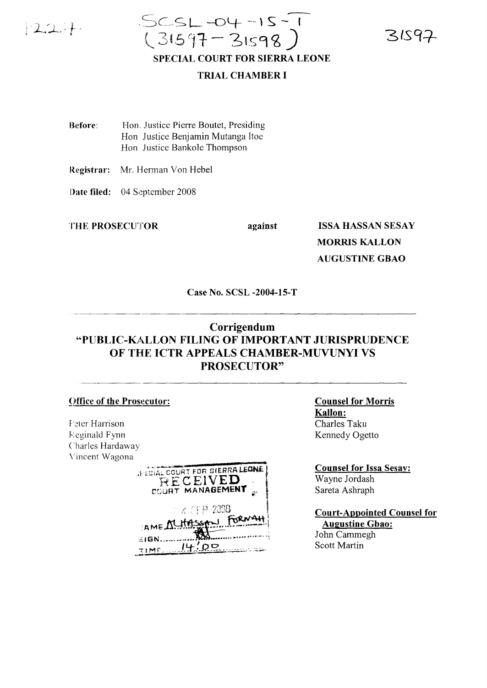

 $SCSL-04-15-1$  $(31597 - 31598)$ **SPECIAL COURT FOR SIERRA LEONE** 

31597

## **TRIAL CHAMBER I**

Before: Hon. Justice Pierre Boutet, Presiding Hon Justice Benjamin Mutanga Itoe Hon. Justice Bankole Thompson

Registrar: Mr. Herman Von Hebel

Date filed: 04 September 2008

THE PROSECUTOR

against

**ISSA HASSAN SESAY MORRIS KALLON AUGUSTINE GBAO** 

Case No. SCSL -2004-15-T

## Corrigendum "PUBLIC-KALLON FILING OF IMPORTANT JURISPRUDENCE OF THE ICTR APPEALS CHAMBER-MUVUNYI VS **PROSECUTOR"**

## **Office of the Prosecutor:**

Feter Harrison **Eeginald Fynn** Charles Hardaway Vincent Wagona

| JPECIAL COURT FOR SIERRA LEONE<br>RECEIVED<br>COURT MANAGEMENT                              |  |
|---------------------------------------------------------------------------------------------|--|
| $\triangleright$ and $\epsilon$ ( $\epsilon$ ) $\approx$ 2008<br>AME MLHASSAN FORMAH<br>ាចស |  |

**Counsel for Morris Kallon:** Charles Taku Kennedy Ogetto

**Counsel for Issa Sesay:** Wayne Jordash Sareta Ashraph

**Court-Appointed Counsel for Augustine Gbao:** John Cammegh **Scott Martin**